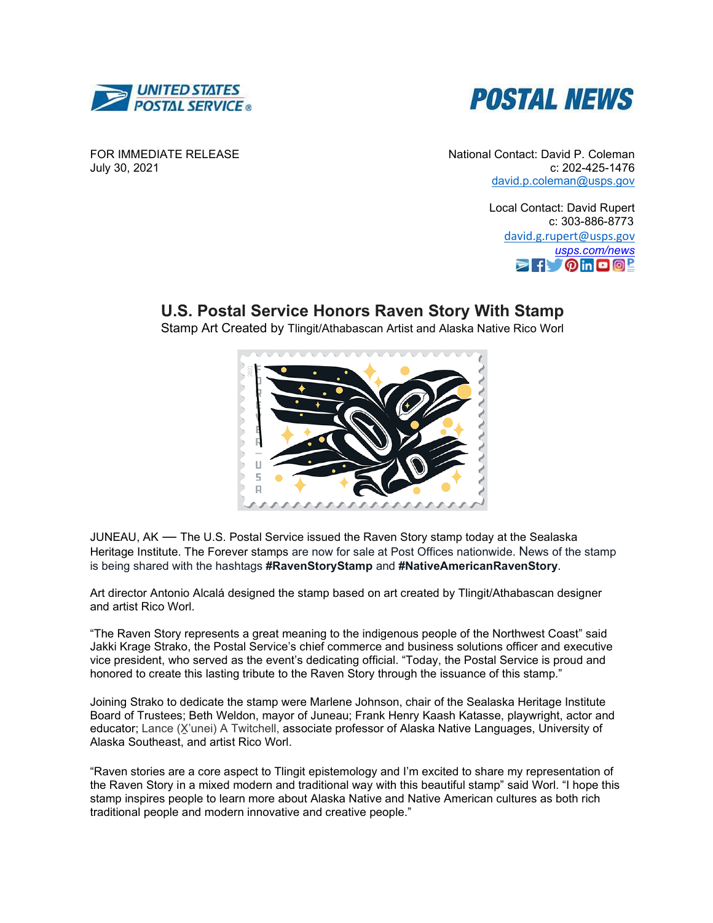



FOR IMMEDIATE RELEASE July 30, 2021

National Contact: David P. Coleman c: 202-425-1476 [david.p.coleman@usps.gov](mailto:david.p.coleman@usps.gov)

> Local Contact: David Rupert c: 303-886-8773 [david.g.rupert@usps.gov](mailto:david.g.rupert@usps.gov) *[usps.com/news](https://gcc02.safelinks.protection.outlook.com/?url=https%3A%2F%2Fwww.usps.com%2Fnews&data=04%7C01%7Cstephen.n.doherty%40usps.gov%7Cd7387e205feb42f1e9b008d8b0c16f72%7Cf9aa5788eb334a498ad076101910cac3%7C0%7C0%7C637453692141249008%7CUnknown%7CTWFpbGZsb3d8eyJWIjoiMC4wLjAwMDAiLCJQIjoiV2luMzIiLCJBTiI6Ik1haWwiLCJXVCI6Mn0%3D%7C1000&sdata=GG7dDEUDjDJ5%2FmPVzpu8xyYHG5qOKJ5%2BXauEXj1%2B7WM%3D&reserved=0)*  $\triangleright$   $\uparrow$   $\lozenge$  in  $\Box$   $\Box$   $\Box$

## **U.S. Postal Service Honors Raven Story With Stamp**

Stamp Art Created by Tlingit/Athabascan Artist and Alaska Native Rico Worl



JUNEAU, AK — The U.S. Postal Service issued the Raven Story stamp today at the Sealaska Heritage Institute. The Forever stamps are now for sale at Post Offices nationwide. News of the stamp is being shared with the hashtags **#RavenStoryStamp** and **#NativeAmericanRavenStory**.

Art director Antonio Alcalá designed the stamp based on art created by Tlingit/Athabascan designer and artist Rico Worl.

"The Raven Story represents a great meaning to the indigenous people of the Northwest Coast" said Jakki Krage Strako, the Postal Service's chief commerce and business solutions officer and executive vice president, who served as the event's dedicating official. "Today, the Postal Service is proud and honored to create this lasting tribute to the Raven Story through the issuance of this stamp."

Joining Strako to dedicate the stamp were Marlene Johnson, chair of the Sealaska Heritage Institute Board of Trustees; Beth Weldon, mayor of Juneau; Frank Henry Kaash Katasse, playwright, actor and educator; Lance (X̱'unei) A Twitchell, associate professor of Alaska Native Languages, University of Alaska Southeast, and artist Rico Worl.

"Raven stories are a core aspect to Tlingit epistemology and I'm excited to share my representation of the Raven Story in a mixed modern and traditional way with this beautiful stamp" said Worl. "I hope this stamp inspires people to learn more about Alaska Native and Native American cultures as both rich traditional people and modern innovative and creative people."